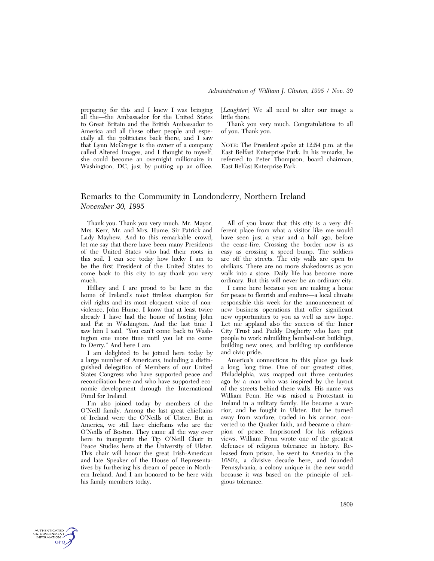preparing for this and I knew I was bringing all the—the Ambassador for the United States to Great Britain and the British Ambassador to America and all these other people and especially all the politicians back there, and I saw that Lynn McGregor is the owner of a company called Altered Images, and I thought to myself, she could become an overnight millionaire in Washington, DC, just by putting up an office.

[*Laughter*] We all need to alter our image a little there.

Thank you very much. Congratulations to all of you. Thank you.

NOTE: The President spoke at 12:54 p.m. at the East Belfast Enterprise Park. In his remarks, he referred to Peter Thompson, board chairman, East Belfast Enterprise Park.

## Remarks to the Community in Londonderry, Northern Ireland *November 30, 1995*

Thank you. Thank you very much. Mr. Mayor, Mrs. Kerr, Mr. and Mrs. Hume, Sir Patrick and Lady Mayhew. And to this remarkable crowd, let me say that there have been many Presidents of the United States who had their roots in this soil. I can see today how lucky I am to be the first President of the United States to come back to this city to say thank you very much.

Hillary and I are proud to be here in the home of Ireland's most tireless champion for civil rights and its most eloquent voice of nonviolence, John Hume. I know that at least twice already I have had the honor of hosting John and Pat in Washington. And the last time I saw him I said, ''You can't come back to Washington one more time until you let me come to Derry.'' And here I am.

I am delighted to be joined here today by a large number of Americans, including a distinguished delegation of Members of our United States Congress who have supported peace and reconciliation here and who have supported economic development through the International Fund for Ireland.

I'm also joined today by members of the O'Neill family. Among the last great chieftains of Ireland were the O'Neills of Ulster. But in America, we still have chieftains who are the O'Neills of Boston. They came all the way over here to inaugurate the Tip O'Neill Chair in Peace Studies here at the University of Ulster. This chair will honor the great Irish-American and late Speaker of the House of Representatives by furthering his dream of peace in Northern Ireland. And I am honored to be here with his family members today.

All of you know that this city is a very different place from what a visitor like me would have seen just a year and a half ago, before the cease-fire. Crossing the border now is as easy as crossing a speed bump. The soldiers are off the streets. The city walls are open to civilians. There are no more shakedowns as you walk into a store. Daily life has become more ordinary. But this will never be an ordinary city.

I came here because you are making a home for peace to flourish and endure—a local climate responsible this week for the announcement of new business operations that offer significant new opportunities to you as well as new hope. Let me applaud also the success of the Inner City Trust and Paddy Dogherty who have put people to work rebuilding bombed-out buildings, building new ones, and building up confidence and civic pride.

America's connections to this place go back a long, long time. One of our greatest cities, Philadelphia, was mapped out three centuries ago by a man who was inspired by the layout of the streets behind these walls. His name was William Penn. He was raised a Protestant in Ireland in a military family. He became a warrior, and he fought in Ulster. But he turned away from warfare, traded in his armor, converted to the Quaker faith, and became a champion of peace. Imprisoned for his religious views, William Penn wrote one of the greatest defenses of religious tolerance in history. Released from prison, he went to America in the 1680's, a divisive decade here, and founded Pennsylvania, a colony unique in the new world because it was based on the principle of religious tolerance.

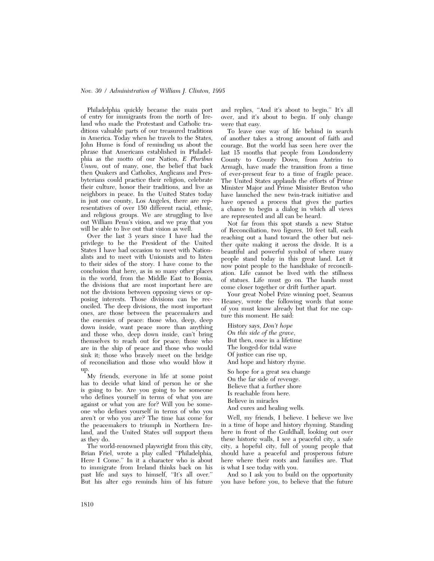Philadelphia quickly became the main port of entry for immigrants from the north of Ireland who made the Protestant and Catholic traditions valuable parts of our treasured traditions in America. Today when he travels to the States, John Hume is fond of reminding us about the phrase that Americans established in Philadelphia as the motto of our Nation, *E Pluribus Unum*, out of many, one, the belief that back then Quakers and Catholics, Anglicans and Presbyterians could practice their religion, celebrate their culture, honor their traditions, and live as neighbors in peace. In the United States today in just one county, Los Angeles, there are representatives of over 150 different racial, ethnic, and religious groups. We are struggling to live out William Penn's vision, and we pray that you will be able to live out that vision as well.

Over the last 3 years since I have had the privilege to be the President of the United States I have had occasion to meet with Nationalists and to meet with Unionists and to listen to their sides of the story. I have come to the conclusion that here, as in so many other places in the world, from the Middle East to Bosnia, the divisions that are most important here are not the divisions between opposing views or opposing interests. Those divisions can be reconciled. The deep divisions, the most important ones, are those between the peacemakers and the enemies of peace: those who, deep, deep down inside, want peace more than anything and those who, deep down inside, can't bring themselves to reach out for peace; those who are in the ship of peace and those who would sink it; those who bravely meet on the bridge of reconciliation and those who would blow it up.

My friends, everyone in life at some point has to decide what kind of person he or she is going to be. Are you going to be someone who defines yourself in terms of what you are against or what you are for? Will you be someone who defines yourself in terms of who you aren't or who you are? The time has come for the peacemakers to triumph in Northern Ireland, and the United States will support them as they do.

The world-renowned playwright from this city, Brian Friel, wrote a play called ''Philadelphia, Here I Come.'' In it a character who is about to immigrate from Ireland thinks back on his past life and says to himself, "It's all over." But his alter ego reminds him of his future and replies, ''And it's about to begin.'' It's all over, and it's about to begin. If only change were that easy.

To leave one way of life behind in search of another takes a strong amount of faith and courage. But the world has seen here over the last 15 months that people from Londonderry County to County Down, from Antrim to Armagh, have made the transition from a time of ever-present fear to a time of fragile peace. The United States applauds the efforts of Prime Minister Major and Prime Minister Bruton who have launched the new twin-track initiative and have opened a process that gives the parties a chance to begin a dialog in which all views are represented and all can be heard.

Not far from this spot stands a new Statue of Reconciliation, two figures, 10 feet tall, each reaching out a hand toward the other but neither quite making it across the divide. It is a beautiful and powerful symbol of where many people stand today in this great land. Let it now point people to the handshake of reconciliation. Life cannot be lived with the stillness of statues. Life must go on. The hands must come closer together or drift further apart.

Your great Nobel Prize winning poet, Seamus Heaney, wrote the following words that some of you must know already but that for me capture this moment. He said:

History says, *Don't hope On this side of the grave*, But then, once in a lifetime The longed-for tidal wave Of justice can rise up, And hope and history rhyme.

So hope for a great sea change On the far side of revenge. Believe that a further shore Is reachable from here. Believe in miracles And cures and healing wells.

Well, my friends, I believe. I believe we live in a time of hope and history rhyming. Standing here in front of the Guildhall, looking out over these historic walls, I see a peaceful city, a safe city, a hopeful city, full of young people that should have a peaceful and prosperous future here where their roots and families are. That is what I see today with you.

And so I ask you to build on the opportunity you have before you, to believe that the future